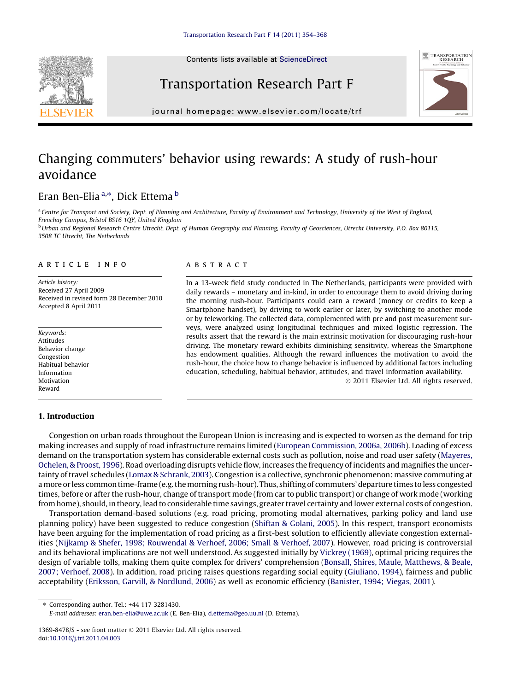Contents lists available at [ScienceDirect](http://www.sciencedirect.com/science/journal/13698478)







journal homepage: [www.elsevier.com/locate/trf](http://www.elsevier.com/locate/trf)

## Changing commuters' behavior using rewards: A study of rush-hour avoidance

### Eran Ben-Elia <sup>a,\*</sup>, Dick Ettema <sup>b</sup>

<sup>a</sup> Centre for Transport and Society, Dept. of Planning and Architecture, Faculty of Environment and Technology, University of the West of England, Frenchay Campus, Bristol BS16 1QY, United Kingdom <sup>b</sup> Urban and Regional Research Centre Utrecht, Dept. of Human Geography and Planning, Faculty of Geosciences, Utrecht University, P.O. Box 80115,

3508 TC Utrecht, The Netherlands

#### article info

Article history: Received 27 April 2009 Received in revised form 28 December 2010 Accepted 8 April 2011

Keywords: Attitudes Behavior change Congestion Habitual behavior Information Motivation Reward

#### 1. Introduction

#### ABSTRACT

In a 13-week field study conducted in The Netherlands, participants were provided with daily rewards – monetary and in-kind, in order to encourage them to avoid driving during the morning rush-hour. Participants could earn a reward (money or credits to keep a Smartphone handset), by driving to work earlier or later, by switching to another mode or by teleworking. The collected data, complemented with pre and post measurement surveys, were analyzed using longitudinal techniques and mixed logistic regression. The results assert that the reward is the main extrinsic motivation for discouraging rush-hour driving. The monetary reward exhibits diminishing sensitivity, whereas the Smartphone has endowment qualities. Although the reward influences the motivation to avoid the rush-hour, the choice how to change behavior is influenced by additional factors including education, scheduling, habitual behavior, attitudes, and travel information availability.

- 2011 Elsevier Ltd. All rights reserved.

Congestion on urban roads throughout the European Union is increasing and is expected to worsen as the demand for trip making increases and supply of road infrastructure remains limited [\(European Commission, 2006a, 2006b\)](#page--1-0). Loading of excess demand on the transportation system has considerable external costs such as pollution, noise and road user safety ([Mayeres,](#page--1-0) [Ochelen, & Proost, 1996\)](#page--1-0). Road overloading disrupts vehicle flow, increases the frequency of incidents and magnifies the uncertainty of travel schedules [\(Lomax & Schrank, 2003](#page--1-0)). Congestion is a collective, synchronic phenomenon: massive commuting at amore or less common time-frame (e.g. the morning rush-hour). Thus, shifting of commuters' departure times to less congested times, before or after the rush-hour, change of transport mode (from car to public transport) or change of work mode (working from home), should, in theory, lead to considerable time savings, greater travel certainty and lower external costs of congestion.

Transportation demand-based solutions (e.g. road pricing, promoting modal alternatives, parking policy and land use planning policy) have been suggested to reduce congestion ([Shiftan & Golani, 2005\)](#page--1-0). In this respect, transport economists have been arguing for the implementation of road pricing as a first-best solution to efficiently alleviate congestion externalities ([Nijkamp & Shefer, 1998; Rouwendal & Verhoef, 2006; Small & Verhoef, 2007\)](#page--1-0). However, road pricing is controversial and its behavioral implications are not well understood. As suggested initially by [Vickrey \(1969\)](#page--1-0), optimal pricing requires the design of variable tolls, making them quite complex for drivers' comprehension [\(Bonsall, Shires, Maule, Matthews, & Beale,](#page--1-0) [2007; Verhoef, 2008\)](#page--1-0). In addition, road pricing raises questions regarding social equity [\(Giuliano, 1994\)](#page--1-0), fairness and public acceptability [\(Eriksson, Garvill, & Nordlund, 2006\)](#page--1-0) as well as economic efficiency [\(Banister, 1994; Viegas, 2001](#page--1-0)).

⇑ Corresponding author. Tel.: +44 117 3281430.

E-mail addresses: [eran.ben-elia@uwe.ac.uk](mailto:eran.ben-elia@uwe.ac.uk) (E. Ben-Elia), [d.ettema@geo.uu.nl](mailto:d.ettema@geo.uu.nl) (D. Ettema).

<sup>1369-8478/\$ -</sup> see front matter  $\odot$  2011 Elsevier Ltd. All rights reserved. doi[:10.1016/j.trf.2011.04.003](http://dx.doi.org/10.1016/j.trf.2011.04.003)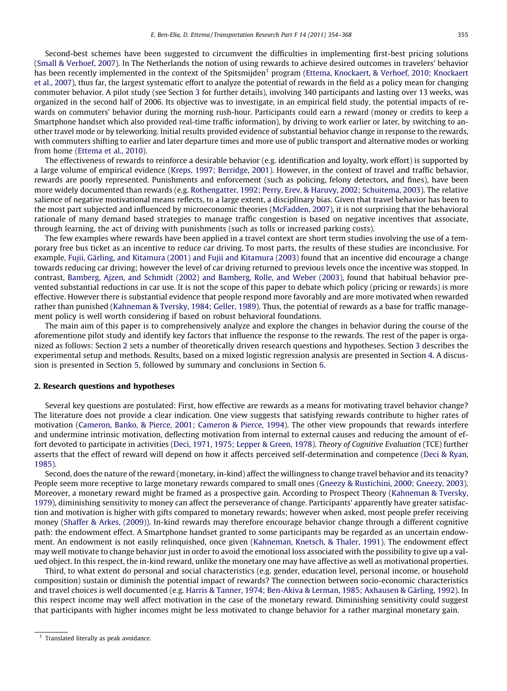Second-best schemes have been suggested to circumvent the difficulties in implementing first-best pricing solutions ([Small & Verhoef, 2007](#page--1-0)). In The Netherlands the notion of using rewards to achieve desired outcomes in travelers' behavior has been recently implemented in the context of the Spitsmijden<sup>1</sup> program ([Ettema, Knockaert, & Verhoef, 2010; Knockaert](#page--1-0) [et al., 2007](#page--1-0)), thus far, the largest systematic effort to analyze the potential of rewards in the field as a policy mean for changing commuter behavior. A pilot study (see Section 3 for further details), involving 340 participants and lasting over 13 weeks, was organized in the second half of 2006. Its objective was to investigate, in an empirical field study, the potential impacts of rewards on commuters' behavior during the morning rush-hour. Participants could earn a reward (money or credits to keep a Smartphone handset which also provided real-time traffic information), by driving to work earlier or later, by switching to another travel mode or by teleworking. Initial results provided evidence of substantial behavior change in response to the rewards, with commuters shifting to earlier and later departure times and more use of public transport and alternative modes or working from home ([Ettema et al., 2010](#page--1-0)).

The effectiveness of rewards to reinforce a desirable behavior (e.g. identification and loyalty, work effort) is supported by a large volume of empirical evidence ([Kreps, 1997; Berridge, 2001\)](#page--1-0). However, in the context of travel and traffic behavior, rewards are poorly represented. Punishments and enforcement (such as policing, felony detectors, and fines), have been more widely documented than rewards (e.g. [Rothengatter, 1992; Perry, Erev, & Haruvy, 2002; Schuitema, 2003\)](#page--1-0). The relative salience of negative motivational means reflects, to a large extent, a disciplinary bias. Given that travel behavior has been to the most part subjected and influenced by microeconomic theories ([McFadden, 2007](#page--1-0)), it is not surprising that the behavioral rationale of many demand based strategies to manage traffic congestion is based on negative incentives that associate, through learning, the act of driving with punishments (such as tolls or increased parking costs).

The few examples where rewards have been applied in a travel context are short term studies involving the use of a temporary free bus ticket as an incentive to reduce car driving. To most parts, the results of these studies are inconclusive. For example, [Fujii, Gärling, and Kitamura \(2001\) and Fujii and Kitamura \(2003\)](#page--1-0) found that an incentive did encourage a change towards reducing car driving; however the level of car driving returned to previous levels once the incentive was stopped. In contrast, [Bamberg, Ajzen, and Schmidt \(2002\) and Bamberg, Rolle, and Weber \(2003\),](#page--1-0) found that habitual behavior prevented substantial reductions in car use. It is not the scope of this paper to debate which policy (pricing or rewards) is more effective. However there is substantial evidence that people respond more favorably and are more motivated when rewarded rather than punished ([Kahneman & Tversky, 1984; Geller, 1989](#page--1-0)). Thus, the potential of rewards as a base for traffic management policy is well worth considering if based on robust behavioral foundations.

The main aim of this paper is to comprehensively analyze and explore the changes in behavior during the course of the aforementione pilot study and identify key factors that influence the response to the rewards. The rest of the paper is organized as follows: Section 2 sets a number of theoretically driven research questions and hypotheses. Section 3 describes the experimental setup and methods. Results, based on a mixed logistic regression analysis are presented in Section 4. A discussion is presented in Section 5, followed by summary and conclusions in Section 6.

#### 2. Research questions and hypotheses

Several key questions are postulated: First, how effective are rewards as a means for motivating travel behavior change? The literature does not provide a clear indication. One view suggests that satisfying rewards contribute to higher rates of motivation [\(Cameron, Banko, & Pierce, 2001; Cameron & Pierce, 1994](#page--1-0)). The other view propounds that rewards interfere and undermine intrinsic motivation, deflecting motivation from internal to external causes and reducing the amount of effort devoted to participate in activities ([Deci, 1971, 1975; Lepper & Green, 1978](#page--1-0)). Theory of Cognitive Evaluation (TCE) further asserts that the effect of reward will depend on how it affects perceived self-determination and competence [\(Deci & Ryan,](#page--1-0) [1985\)](#page--1-0).

Second, does the nature of the reward (monetary, in-kind) affect the willingness to change travel behavior and its tenacity? People seem more receptive to large monetary rewards compared to small ones [\(Gneezy & Rustichini, 2000; Gneezy, 2003](#page--1-0)). Moreover, a monetary reward might be framed as a prospective gain. According to Prospect Theory ([Kahneman & Tversky,](#page--1-0) [1979\)](#page--1-0), diminishing sensitivity to money can affect the perseverance of change. Participants' apparently have greater satisfaction and motivation is higher with gifts compared to monetary rewards; however when asked, most people prefer receiving money ([Shaffer & Arkes, \(2009\)](#page--1-0)). In-kind rewards may therefore encourage behavior change through a different cognitive path: the endowment effect. A Smartphone handset granted to some participants may be regarded as an uncertain endowment. An endowment is not easily relinquished, once given [\(Kahneman, Knetsch, & Thaler, 1991\)](#page--1-0). The endowment effect may well motivate to change behavior just in order to avoid the emotional loss associated with the possibility to give up a valued object. In this respect, the in-kind reward, unlike the monetary one may have affective as well as motivational properties.

Third, to what extent do personal and social characteristics (e.g. gender, education level, personal income, or household composition) sustain or diminish the potential impact of rewards? The connection between socio-economic characteristics and travel choices is well documented (e.g. [Harris & Tanner, 1974; Ben-Akiva & Lerman, 1985; Axhausen & Gärling, 1992\)](#page--1-0). In this respect income may well affect motivation in the case of the monetary reward. Diminishing sensitivity could suggest that participants with higher incomes might be less motivated to change behavior for a rather marginal monetary gain.

 $1$  Translated literally as peak avoidance.